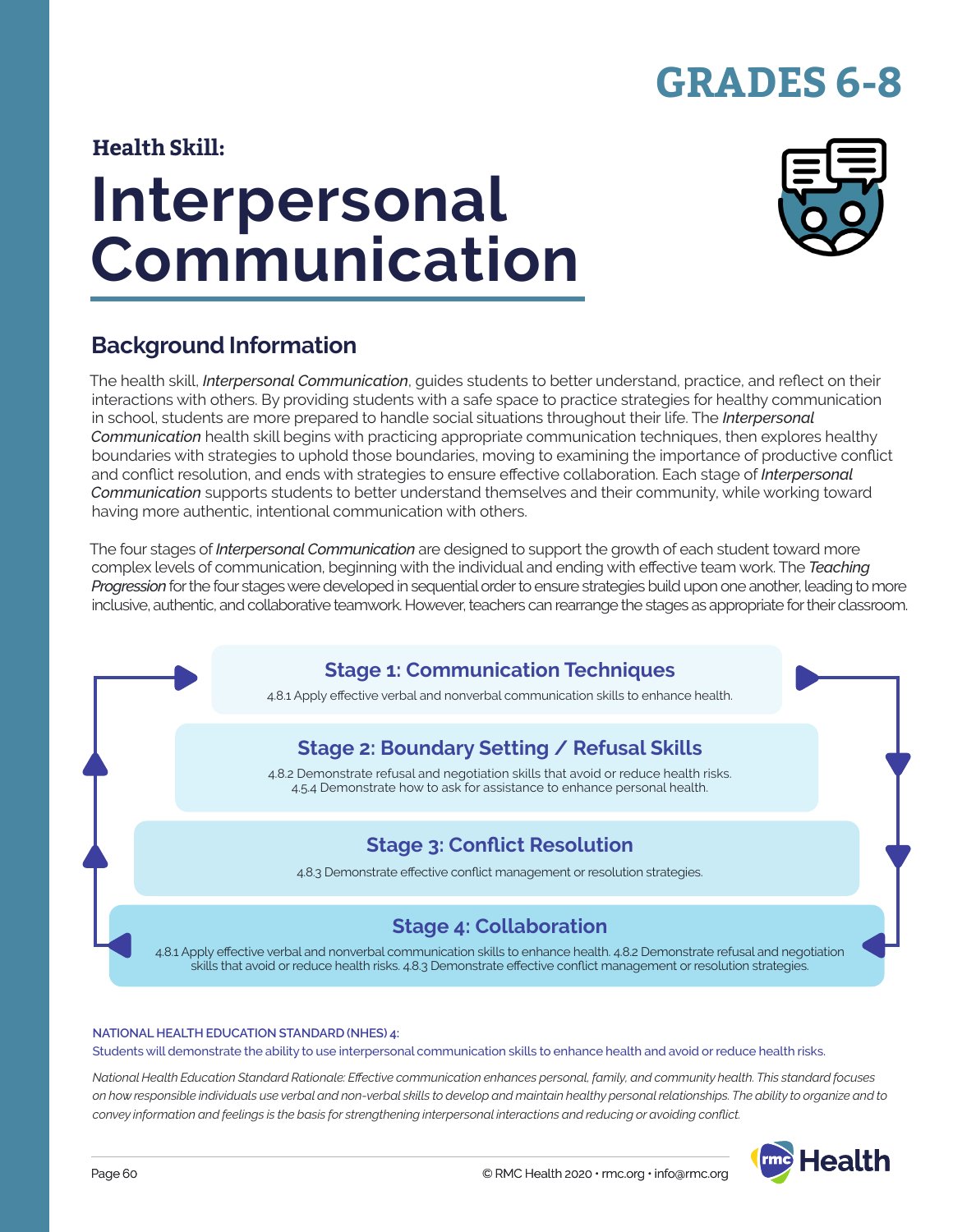# **GRADES 6-8**

### **Health Skill:**

# **Interpersonal Communication**



### **Background Information**

The health skill, *Interpersonal Communication*, guides students to better understand, practice, and reflect on their interactions with others. By providing students with a safe space to practice strategies for healthy communication in school, students are more prepared to handle social situations throughout their life. The *Interpersonal Communication* health skill begins with practicing appropriate communication techniques, then explores healthy boundaries with strategies to uphold those boundaries, moving to examining the importance of productive conflict and conflict resolution, and ends with strategies to ensure effective collaboration. Each stage of *Interpersonal Communication* supports students to better understand themselves and their community, while working toward having more authentic, intentional communication with others.

The four stages of *Interpersonal Communication* are designed to support the growth of each student toward more complex levels of communication, beginning with the individual and ending with effective team work. The *Teaching Progression* for the four stages were developed in sequential order to ensure strategies build upon one another, leading to more inclusive, authentic, and collaborative teamwork. However, teachers can rearrange the stages as appropriate for their classroom.

### **Stage 1: Communication Techniques**

4.8.1 Apply effective verbal and nonverbal communication skills to enhance health.

### **Stage 2: Boundary Setting / Refusal Skills**

4.8.2 Demonstrate refusal and negotiation skills that avoid or reduce health risks. 4.5.4 Demonstrate how to ask for assistance to enhance personal health.

### **Stage 3: Conflict Resolution**

4.8.3 Demonstrate effective conflict management or resolution strategies.

### **Stage 4: Collaboration**

4.8.1 Apply effective verbal and nonverbal communication skills to enhance health. 4.8.2 Demonstrate refusal and negotiation skills that avoid or reduce health risks. 4.8.3 Demonstrate effective conflict management or resolution strategies.

#### **NATIONAL HEALTH EDUCATION STANDARD (NHES) 4:**

Students will demonstrate the ability to use interpersonal communication skills to enhance health and avoid or reduce health risks.

*National Health Education Standard Rationale: Effective communication enhances personal, family, and community health. This standard focuses on how responsible individuals use verbal and non-verbal skills to develop and maintain healthy personal relationships. The ability to organize and to convey information and feelings is the basis for strengthening interpersonal interactions and reducing or avoiding conflict.*

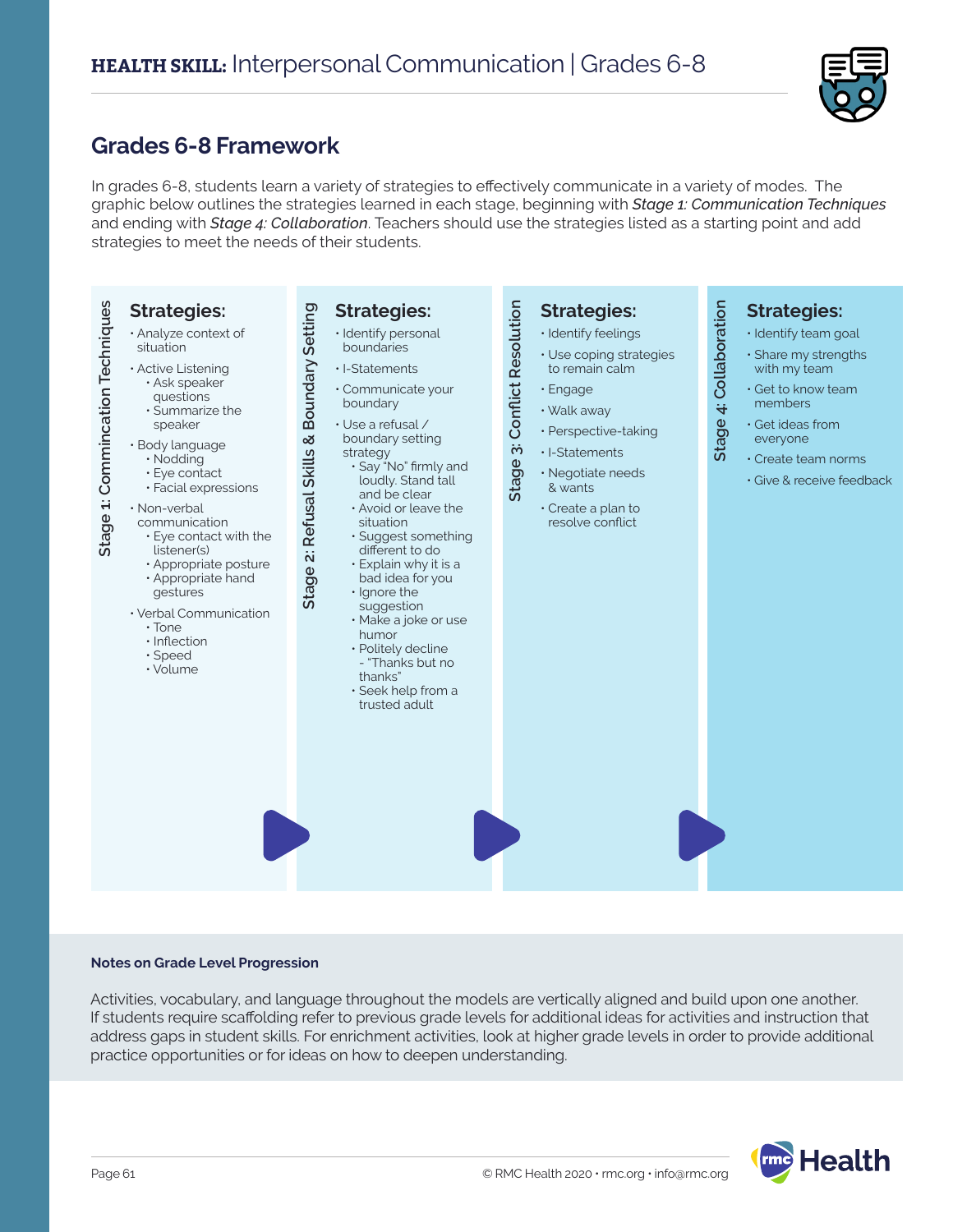

### **Grades 6-8 Framework**

In grades 6-8, students learn a variety of strategies to effectively communicate in a variety of modes. The graphic below outlines the strategies learned in each stage, beginning with *Stage 1: Communication Techniques* and ending with *Stage 4: Collaboration*. Teachers should use the strategies listed as a starting point and add strategies to meet the needs of their students.



#### **Notes on Grade Level Progression**

Activities, vocabulary, and language throughout the models are vertically aligned and build upon one another. If students require scaffolding refer to previous grade levels for additional ideas for activities and instruction that address gaps in student skills. For enrichment activities, look at higher grade levels in order to provide additional practice opportunities or for ideas on how to deepen understanding.

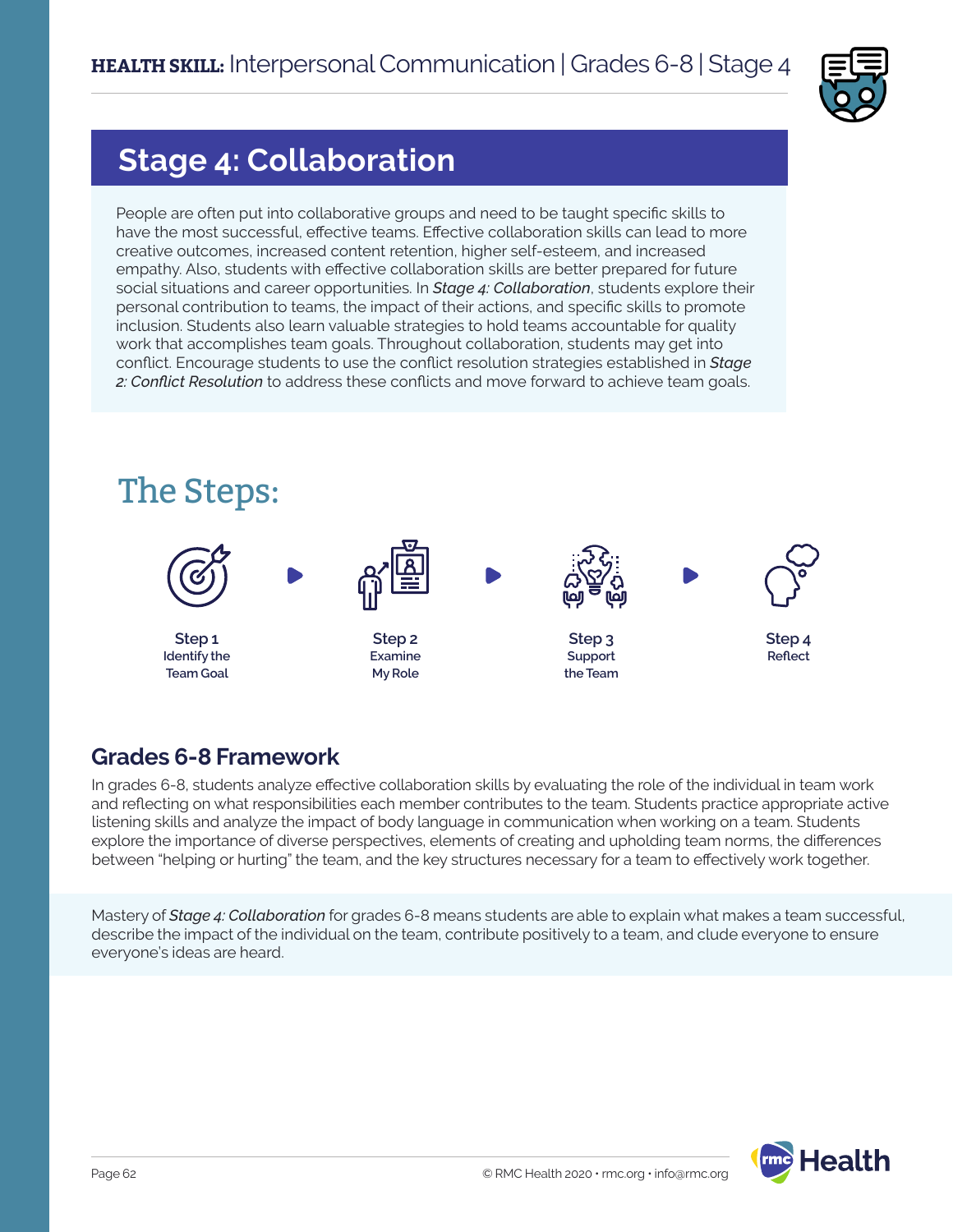

# **Stage 4: Collaboration**

People are often put into collaborative groups and need to be taught specific skills to have the most successful, effective teams. Effective collaboration skills can lead to more creative outcomes, increased content retention, higher self-esteem, and increased empathy. Also, students with effective collaboration skills are better prepared for future social situations and career opportunities. In *Stage 4: Collaboration*, students explore their personal contribution to teams, the impact of their actions, and specific skills to promote inclusion. Students also learn valuable strategies to hold teams accountable for quality work that accomplishes team goals. Throughout collaboration, students may get into conflict. Encourage students to use the conflict resolution strategies established in *Stage 2: Conflict Resolution* to address these conflicts and move forward to achieve team goals.



### **Grades 6-8 Framework**

In grades 6-8, students analyze effective collaboration skills by evaluating the role of the individual in team work and reflecting on what responsibilities each member contributes to the team. Students practice appropriate active listening skills and analyze the impact of body language in communication when working on a team. Students explore the importance of diverse perspectives, elements of creating and upholding team norms, the differences between "helping or hurting" the team, and the key structures necessary for a team to effectively work together.

Mastery of *Stage 4: Collaboration* for grades 6-8 means students are able to explain what makes a team successful, describe the impact of the individual on the team, contribute positively to a team, and clude everyone to ensure everyone's ideas are heard.

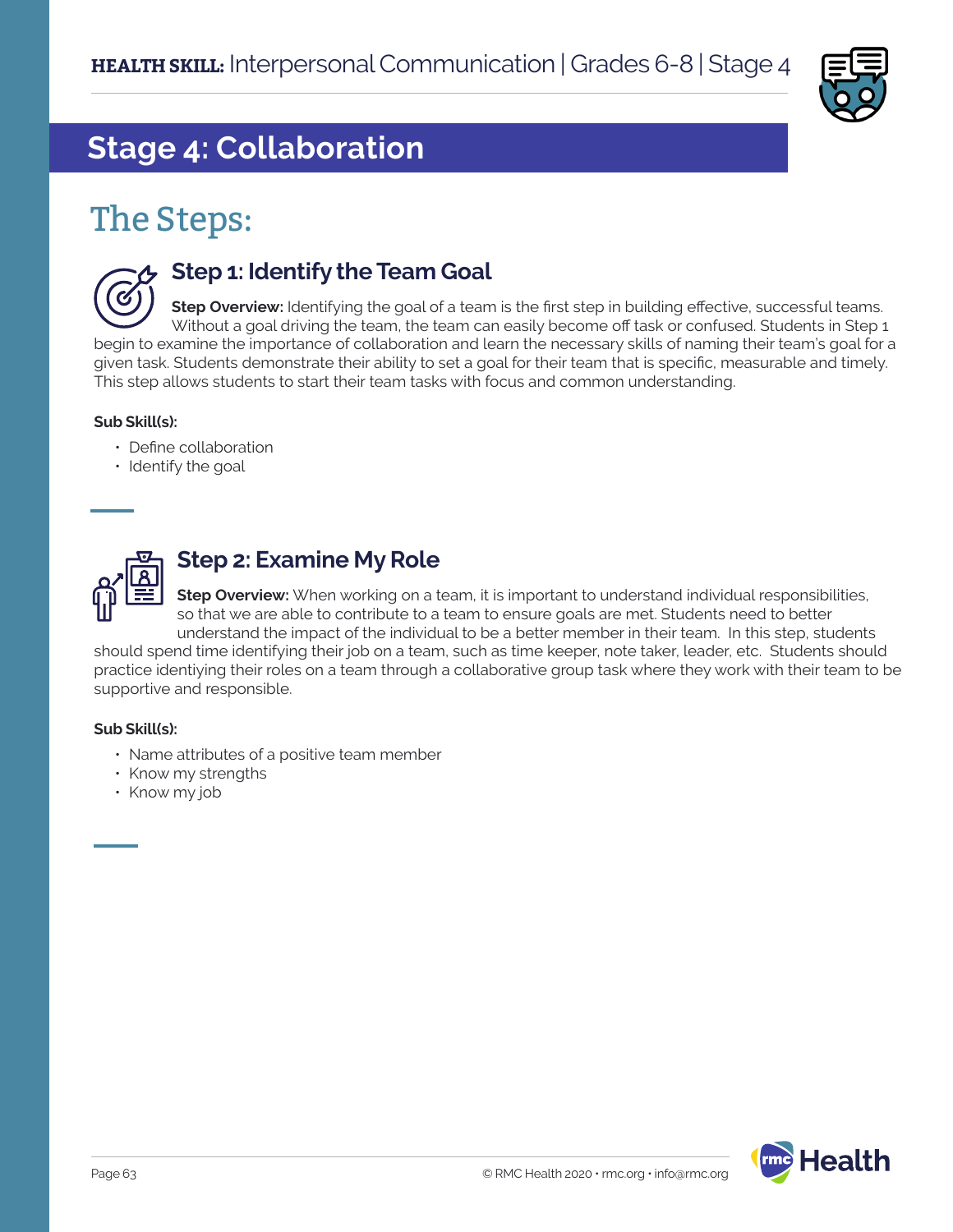

# **Stage 4: Collaboration**

# The Steps:



### **Step 1: Identify the Team Goal**

**Step Overview:** Identifying the goal of a team is the first step in building effective, successful teams. Without a goal driving the team, the team can easily become off task or confused. Students in Step 1 begin to examine the importance of collaboration and learn the necessary skills of naming their team's goal for a given task. Students demonstrate their ability to set a goal for their team that is specific, measurable and timely. This step allows students to start their team tasks with focus and common understanding.

#### **Sub Skill(s):**

- Define collaboration
- Identify the goal



### **Step 2: Examine My Role**

**Step Overview:** When working on a team, it is important to understand individual responsibilities, so that we are able to contribute to a team to ensure goals are met. Students need to better understand the impact of the individual to be a better member in their team. In this step, students

should spend time identifying their job on a team, such as time keeper, note taker, leader, etc. Students should practice identiying their roles on a team through a collaborative group task where they work with their team to be supportive and responsible.

#### **Sub Skill(s):**

- Name attributes of a positive team member
- Know my strengths
- Know my job

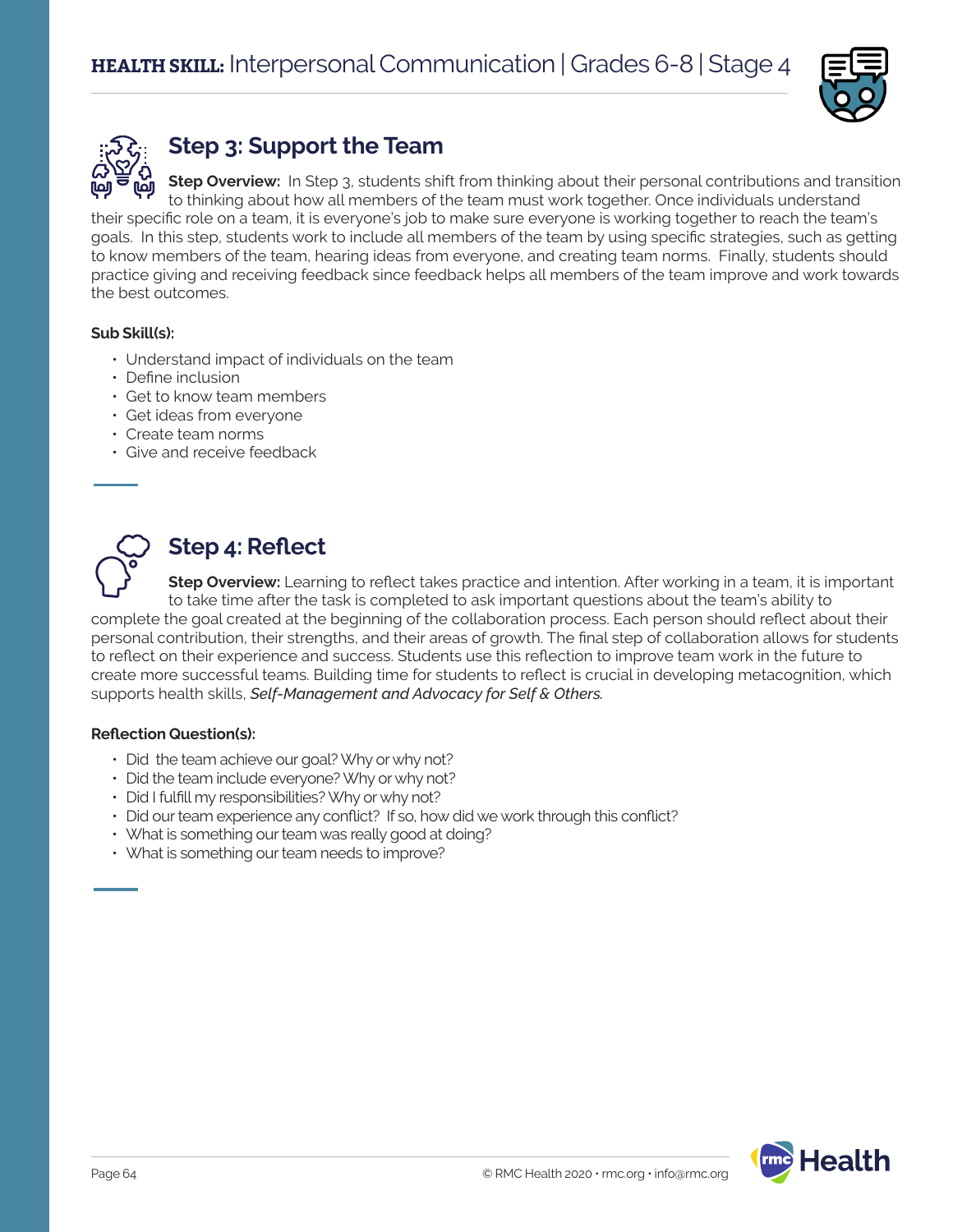



## **Step 3: Support the Team**

**Step Overview:** In Step 3, students shift from thinking about their personal contributions and transition to thinking about how all members of the team must work together. Once individuals understand their specific role on a team, it is everyone's job to make sure everyone is working together to reach the team's goals. In this step, students work to include all members of the team by using specific strategies, such as getting to know members of the team, hearing ideas from everyone, and creating team norms. Finally, students should practice giving and receiving feedback since feedback helps all members of the team improve and work towards the best outcomes.

### **Sub Skill(s):**

- Understand impact of individuals on the team
- Define inclusion
- Get to know team members
- Get ideas from everyone
- Create team norms
- Give and receive feedback



### **Step 4: Reflect**

**Step Overview:** Learning to reflect takes practice and intention. After working in a team, it is important to take time after the task is completed to ask important questions about the team's ability to complete the goal created at the beginning of the collaboration process. Each person should reflect about their personal contribution, their strengths, and their areas of growth. The final step of collaboration allows for students to reflect on their experience and success. Students use this reflection to improve team work in the future to create more successful teams. Building time for students to reflect is crucial in developing metacognition, which supports health skills, *Self-Management and Advocacy for Self & Others.* 

#### **Reflection Question(s):**

- Did the team achieve our goal? Why or why not?
- Did the team include everyone? Why or why not?
- Did I fulfill my responsibilities? Why or why not?
- Did our team experience any conflict? If so, how did we work through this conflict?
- What is something our team was really good at doing?
- What is something our team needs to improve?